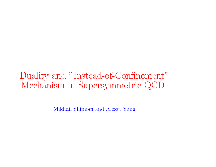Duality and "Instead-of-Confinement" Mechanism in Supersymmetric QCD

Mikhail Shifman and Alexei Yung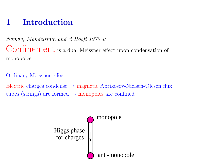# 1 Introduction

Nambu, Mandelstam and 't Hooft 1970's: Confinement is a dual Meissner effect upon condensation of monopoles.

Ordinary Meissner effect:

Electric charges condense <sup>→</sup> magnetic Abrikosov-Nielsen-Olesen flux tubes (strings) are formed  $\rightarrow$  monopoles are confined

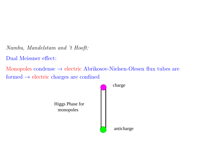Nambu, Mandelstam and 't Hooft:

Dual Meissner effect:

Monopoles condense → electric Abrikosov-Nielsen-Olesen flux tubes are formed → electric charges are confined

> monopoles Higgs Phase for charge anticharge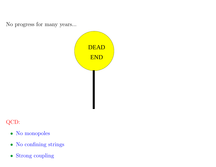No progress for many years...



### QCD:

- No monopoles
- No confining strings
- Strong coupling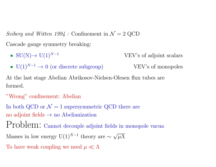Seiberg and Witten  $1994$ : Confinement in  $\mathcal{N}=2$  QCD

Cascade gauge symmetry breaking:

- $SU(N)$   $\rightarrow$   $U(1)^{N-1}$  VEV's of adjoint scalars
- $U(1)^{N-1} \to 0$  (or discrete subgroup) VEV's of monopoles

At the last stage Abelian Abrikosov-Nielsen-Olesen flux tubes are formed.

```
"Wrong" confinement: Abelian
```
In both QCD or  $\mathcal{N} = 1$  supersymmetric QCD there are

no adjoint fields  $\rightarrow$  no Abelianization

Problem: Cannot decouple adjoint fields in monopole vacua

Masses in low energy U(1)<sup>N-1</sup> theory are  $\sim \sqrt{\mu\Lambda}$ 

To have weak coupling we need  $\mu \ll \Lambda$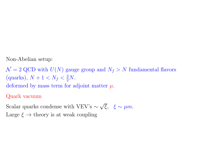Non-Abelian setup:

 $\mathcal{N} = 2$  QCD with  $U(N)$  gauge group and  $N_f > N$  fundamental flavors (quarks),  $N + 1 < N_f < \frac{3}{2}N$ . deformed by mass term for adjoint matter  $\mu$ .

Quark vacuum

Scalar quarks condense with VEV's  $\sim \sqrt{\xi}$ ,  $\xi \sim \mu m$ . Large  $\xi \rightarrow$  theory is at weak coupling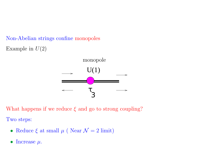Non-Abelian strings confine monopoles Example in  $U(2)$ 



What happens if we reduce  $\xi$  and go to strong coupling? Two steps:

- Reduce  $\xi$  at small  $\mu$  (Near  $\mathcal{N}=2$  limit)
- Increase  $\mu$ .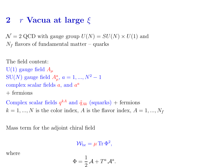# 2 r Vacua at large  $\xi$

 $\mathcal{N} = 2$  QCD with gauge group  $U(N) = SU(N) \times U(1)$  and  $N_f$  flavors of fundamental matter – quarks

The field content: U(1) gauge field  $A_\mu$ SU(N) gauge field  $A_{\mu}^{a}$ ,  $a = 1, ..., N^{2} - 1$ complex scalar fields  $a$ , and  $a^a$ + fermions

Complex scalar fields  $q^{kA}$  and  $\tilde{q}_{Ak}$  (squarks) + fermions  $k = 1, ..., N$  is the color index, A is the flavor index,  $A = 1, ..., N_f$ 

Mass term for the adjoint chiral field

$$
\mathcal{W}_{\rm br} = \mu \,\text{Tr}\, \Phi^2,
$$

where

$$
\Phi = \frac{1}{2}\mathcal{A} + T^a \mathcal{A}^a.
$$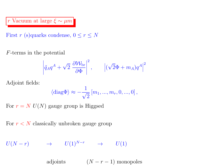r Vacuum at large  $\xi \sim \mu m$ 

First r (s)quarks condense,  $0 \le r \le N$ 

F-terms in the potential

$$
\left| \tilde{q}_A q^A + \sqrt{2} \left| \frac{\partial \mathcal{W}_{\text{br}}}{\partial \Phi} \right|^2, \qquad \left| (\sqrt{2} \Phi + m_A) q^A \right|^2 \right|
$$

Adjoint fields:

$$
\langle \mathrm{diag} \Phi \rangle \approx -\frac{1}{\sqrt{2}} \left[ m_1, ..., m_r, 0, ..., 0 \right],
$$

For  $r = N$   $U(N)$  gauge group is Higgsed

For  $r < N$  classically unbroken gauge group

$$
U(N - r) \qquad \longrightarrow \qquad U(1)^{N - r} \qquad \longrightarrow \qquad U(1)
$$

adjoints  $(N - r - 1)$  monopoles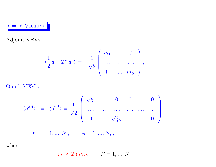$r = N$  Vacuum

Adjoint VEVs:

$$
\langle \frac{1}{2} a + T^a a^a \rangle = -\frac{1}{\sqrt{2}} \begin{pmatrix} m_1 & \dots & 0 \\ \dots & \dots & \dots \\ 0 & \dots & m_N \end{pmatrix},
$$

Quark VEV's

$$
\langle q^{kA} \rangle = \langle \overline{\tilde{q}}^{kA} \rangle = \frac{1}{\sqrt{2}} \begin{pmatrix} \sqrt{\xi_1} & \cdots & 0 & 0 & \cdots & 0 \\ \cdots & \cdots & \cdots & \cdots & \cdots & \cdots \\ 0 & \cdots & \sqrt{\xi_N} & 0 & \cdots & 0 \end{pmatrix},
$$

$$
k = 1, ..., N, \qquad A = 1, ..., N_f,
$$

where

$$
\xi_P \approx 2 \ \mu m_P, \qquad P = 1, ..., N,
$$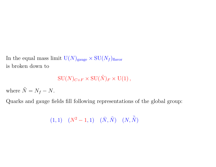In the equal mass limit  $U(N)_{\text{gauge}} \times SU(N_f)_{\text{flavor}}$ is broken down to

 $\text{SU}(N)_{C+F} \times \text{SU}(\tilde{N})_F \times \text{U}(1)$ ,

where  $\tilde{N} = N_f - N$ .

Quarks and gauge fields fill following representations of the global group:

$$
(1,1) \quad (N^2-1,1) \quad (\bar{N},\tilde{N}) \quad (N,\bar{\tilde{N}})
$$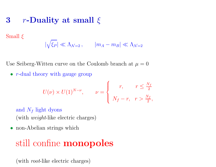#### 3 r-Duality at small  $\xi$

Small  $\xi$ 

$$
|\sqrt{\xi_P}| \ll \Lambda_{\mathcal{N}=2}, \qquad |m_A - m_B| \ll \Lambda_{\mathcal{N}=2}
$$

Use Seiberg-Witten curve on the Coulomb branch at  $\mu = 0$ 

• *r*-dual theory with gauge group

$$
U(\nu) \times U(1)^{N-\nu}, \qquad \nu = \begin{cases} r, & r \leq \frac{N_f}{2} \\ N_f - r, & r > \frac{N_f}{2}, \end{cases}
$$

and  $N_f$  light dyons (with weight-like electric charges)

• non-Abelian strings which

# still confine **monopoles**

(with *root*-like electric charges)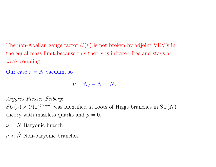The non-Abelian gauge factor  $U(\nu)$  is not broken by adjoint VEV's in the equal mass limit because this theory is infrared-free and stays at weak coupling.

Our case  $r = N$  vacuum, so

$$
\nu = N_f - N = \tilde{N}.
$$

Argyres Plesser Seiberg:  $SU(\nu) \times U(1)^{(N-\nu)}$  was identified at roots of Higgs branches in  $SU(N)$ theory with massless quarks and  $\mu = 0$ .

 $\nu = \tilde{N}$  Baryonic branch

 $\nu < \tilde{N}$  Non-baryonic branches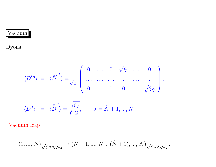# Vacuum

### Dyons

$$
\langle D^{lA} \rangle = \langle \tilde{D}^{lA} \rangle = \frac{1}{\sqrt{2}} \begin{pmatrix} 0 & \dots & 0 & \sqrt{\xi_1} & \dots & 0 \\ \dots & \dots & \dots & \dots & \dots \\ 0 & \dots & 0 & 0 & \dots & \sqrt{\xi_{\tilde{N}}} \end{pmatrix},
$$
  

$$
\langle D^{J} \rangle = \langle \tilde{D}^{J} \rangle = \sqrt{\frac{\xi_{J}}{2}}, \qquad J = \tilde{N} + 1, ..., N.
$$

"Vacuum leap"

$$
(1, ..., N)_{\sqrt{\xi} \gg \Lambda_{\mathcal{N}=2}} \to (N+1, ..., N_f, (\tilde{N}+1), ..., N)_{\sqrt{\xi} \ll \Lambda_{\mathcal{N}=2}}.
$$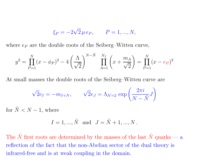$$
\xi_P = -2\sqrt{2} \,\mu \, e_P, \qquad P = 1, ..., N,
$$

where  $e_P$  are the double roots of the Seiberg–Witten curve,

$$
y^{2} = \prod_{P=1}^{N} (x - \phi_{P})^{2} - 4\left(\frac{\Lambda}{\sqrt{2}}\right)^{N-\tilde{N}} \prod_{A=1}^{N_{f}} \left(x + \frac{m_{A}}{\sqrt{2}}\right) = \prod_{P=1}^{N} (x - e_{P})^{2}
$$

At small masses the double roots of the Seiberg–Witten curve are

$$
\sqrt{2}e_I = -m_{I+N}, \qquad \sqrt{2}e_J = \Lambda_{\mathcal{N}=2} \exp\left(\frac{2\pi i}{N-\tilde{N}}J\right)
$$

for  $\tilde{N} < N - 1$ , where

$$
I = 1, ..., \tilde{N}
$$
 and  $J = \tilde{N} + 1, ..., N$ .

The  $\tilde{N}$  first roots are determined by the masses of the last  $\tilde{N}$  quarks — a reflection of the fact that the non-Abelian sector of the dual theory is infrared-free and is at weak coupling in the domain.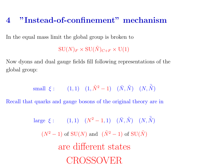# <sup>4</sup> "Instead-of-confinement" mechanism

In the equal mass limit the global group is broken to

 $\mathrm{SU}(N)_F\times \mathrm{SU}(\tilde{N})_{C+F}\times \mathrm{U}(1)$ 

Now dyons and dual gauge fields fill following representations of the global group:

$$
\text{small} \ \ \xi: \qquad (1,1) \quad (1,\tilde{N}^2-1) \quad (\bar{N},\tilde{N}) \quad (N,\bar{\tilde{N}})
$$

Recall that quarks and gauge bosons of the original theory are in

large 
$$
\xi
$$
: (1,1)  $(N^2 - 1, 1)$   $(\bar{N}, \tilde{N})$   $(N, \bar{\tilde{N}})$   
\n $(N^2 - 1)$  of SU(N) and  $(\tilde{N}^2 - 1)$  of SU( $\tilde{N}$ )  
\nare different states  
\nCROSSOVER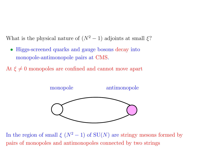What is the physical nature of  $(N^2-1)$  adjoints at small  $\xi$ ?

- Higgs-screened quarks and gauge bosons decay into monopole-antimonopole pairs at CMS.
- At  $\xi \neq 0$  monopoles are confined and cannot move apart



In the region of small  $\xi$  ( $N^2-1$ ) of  $SU(N)$  are stringy mesons formed by pairs of monopoles and antimonopoles connected by two strings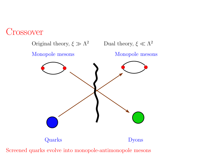

Screened quarks evolve into monopole-antimonopole mesons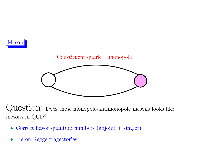



Question: Does these monopole-antimonopole mesons looks like mesons in QCD?

- Correct flavor quantum numbers (adjoint + singlet)
- Lie on Regge tragectories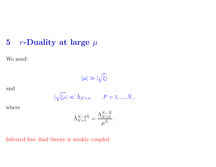#### 5  $r\text{-}\mathbf{Duality}$  at large  $\mu$

We need:

$$
|\mu| \gg |\sqrt{\xi}|
$$

and

$$
|\sqrt{\xi_P}| \ll \tilde{\Lambda}_{\mathcal{N}=1}, \qquad P=1,...,\tilde{N},
$$

where

$$
\tilde{\Lambda}^{N-2\tilde{N}}_{{\cal N}=1}=\frac{\Lambda^{N-\tilde{N}}_{{\cal N}=2}}{\mu^{\tilde{N}}} \, .
$$

Infrared-free dual theory is weakly coupled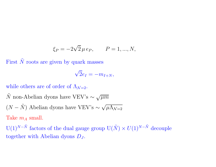$$
\xi_P = -2\sqrt{2} \,\mu \, e_P, \qquad P = 1, ..., N,
$$

First  $\tilde{N}$  roots are given by quark masses

$$
\sqrt{2}e_I = -m_{I+N},
$$

### while others are of order of  $\Lambda_{\mathcal{N}=2}$ .

 $\tilde{N}$  non-Abelian dyons have VEV's ∼  $\sqrt{\mu m}$  $(N - \tilde{N})$  Abelian dyons have VEV's  $\sim \sqrt{\mu \Lambda_{\mathcal{N}=2}}$ Take  $m_A$  small.

 $U(1)^{N-\tilde{N}}$  factors of the dual gauge group  $U(\tilde{N}) \times U(1)^{N-\tilde{N}}$  decouple together with Abelian dyons  $D_J$ .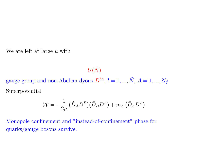We are left at large  $\mu$  with

 $U(\tilde{N})$ 

gauge group and non-Abelian dyons  $D^{lA}$ ,  $l = 1, ..., \tilde{N}$ ,  $A = 1, ..., N_f$ Superpotential

$$
\mathcal{W} = -\frac{1}{2\mu} \left( \tilde{D}_A D^B \right) \left( \tilde{D}_B D^A \right) + m_A \left( \tilde{D}_A D^A \right)
$$

Monopole confinement and "instead-of-confinement" phase for quarks/gauge bosons survive.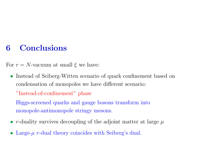# 6 Conclusions

For  $r = N$ -vacuum at small  $\xi$  we have:

• Instead of Seiberg-Witten scenario of quark confinement based on condensation of monopoles we have different scenario: "Instead-of-confinement" phase Higgs-screened quarks and gauge bosons transform into

monopole-antimonopole stringy mesons.

- r-duality survives decoupling of the adjoint matter at large  $\mu$
- Large- $\mu$  r-dual theory coincides with Seiberg's dual.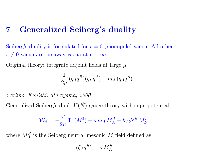# 7 Generalized Seiberg's duality

Seiberg's duality is formulated for  $r = 0$  (monopole) vacua. All other  $r\neq 0$  vacua are runaway vacua at  $\mu=\infty$ 

Original theory: integrate adjoint fields at large  $\mu$ 

$$
-\frac{1}{2\mu} \left(\tilde{q}_A q^B\right) \left(\tilde{q}_B q^A\right) + m_A \left(\tilde{q}_A q^A\right)
$$

Carlino, Konishi, Murayama, 2000

Generalized Seiberg's dual:  $U(\tilde{N})$  gauge theory with superpotential

$$
\mathcal{W}_S = -\frac{\kappa^2}{2\mu} \operatorname{Tr}\left(M^2\right) + \kappa \, m_A \, M_A^A + \tilde{h}_{Al} h^{lB} \, M_B^A,
$$

where  $M_A^B$  is the Seiberg neutral mesonic M field defined as

$$
(\tilde{q}_A q^B) = \kappa M_A^B
$$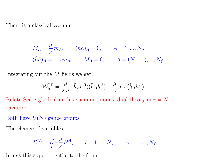There is a classical vacuum

$$
M_A = \frac{\mu}{\kappa} m_A, \qquad (\tilde{h}h)_A = 0, \qquad A = 1, ..., N,
$$
  

$$
(\tilde{h}h)_A = -\kappa m_A, \qquad M_A = 0, \qquad A = (N+1), ..., N_f,
$$

Integrating out the M fields we get

$$
\mathcal{W}_S^{\text{LE}} = \frac{\mu}{2\kappa^2} \, (\tilde{h}_A h^B)(\tilde{h}_B h^A) + \frac{\mu}{\kappa} \, m_A \, (\tilde{h}_A h^A) \, .
$$

Relate Seiberg's dual in this vacuum to our r-dual theory in  $r = N$ vacuum:

Both have  $U(\tilde{N})$  gauge groups

The change of variables

$$
D^{lA} = \sqrt{-\frac{\mu}{\kappa}} h^{lA}, \qquad l = 1, ..., \tilde{N}, \qquad A = 1, ..., N_f
$$

brings this superpotential to the form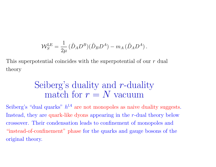$$
\mathcal{W}_S^{\text{LE}} = \frac{1}{2\mu} \left( \tilde{D}_A D^B \right) \left( \tilde{D}_B D^A \right) - m_A \left( \tilde{D}_A D^A \right).
$$

This superpotential coincides with the superpotential of our r dual theory

# Seiberg's duality and r-duality match for  $r = N$  vacuum

Seiberg's "dual quarks"  $h^{lA}$  are not monopoles as naive duality suggests. Instead, they are quark-like dyons appearing in the <sup>r</sup>-dual theory below crossover. Their condensation leads to confinement of monopoles and "instead-of-confinement" <sup>p</sup>hase for the quarks and gauge bosons of the original theory.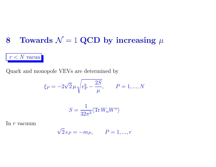# 8 Towards  $\mathcal{N} = 1$  QCD by increasing  $\mu$

 $r < N$  vacua

Quark and monopole VEVs are determined by

$$
\xi_P = -2\sqrt{2}\,\mu \sqrt{e_P^2 - \frac{2S}{\mu}}, \qquad P = 1, ..., N
$$

$$
S = \frac{1}{32\pi^2} \langle \text{Tr} \, W_\alpha W^\alpha \rangle
$$

In  $r$  vacuum

$$
\sqrt{2} e_P = -m_P, \qquad P = 1, ..., r
$$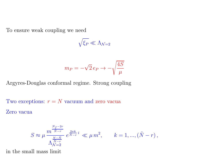To ensure weak coupling we need

$$
\sqrt{\xi_P} \ll \Lambda_{{\cal N}=2}
$$

$$
m_P = -\sqrt{2} \, e_P \to -\sqrt{\frac{4S}{\mu}}
$$

Argyres-Douglas conformal regime. Strong coupling

Two exceptions:  $r = N$  vacuum and zero vacua

Zero vacua

$$
S\approx \mu\,\frac{m^{\frac{N_f-2r}{\tilde N-r}}}{\Lambda_{\mathcal{N}=2}^{\frac{N-\tilde N}{\tilde N-r}}} \,e^{\frac{2\pi k}{\tilde N-r}\,i} \,\ll \mu\,m^2, \qquad k=1,...,(\tilde N-r)\,,
$$

in the small mass limit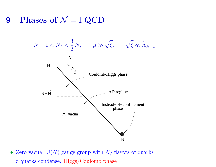9 Phases of  $\mathcal{N}=1$  QCD



• Zero vacua.  $U(N)$  gauge group with  $N_f$  flavors of quarks <sup>r</sup> quarks condense. Higgs/Coulomb <sup>p</sup>hase